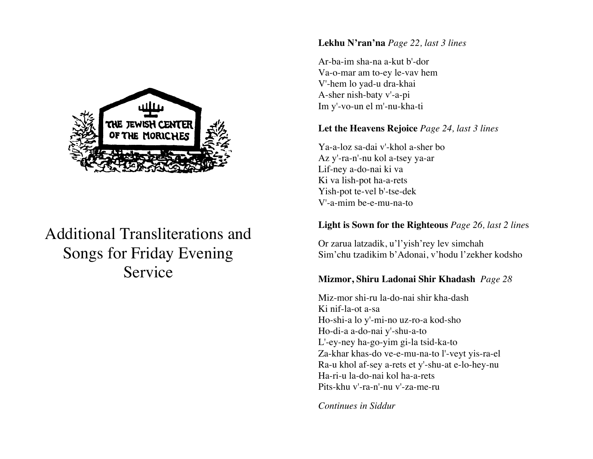

# Additional Transliterations and Songs for Friday Evening Service

## **Lekhu N'ran'na** *Page 22, last 3 lines*

Ar-ba-im sha-na a-kut b'-dor Va-o-mar am to-ey le-vav hem V'-hem lo yad-u dra-khai A-sher nish-baty v'-a-pi Im y'-vo-un el m'-nu-kha-ti

# **Let the Heavens Rejoice** *Page 24, last 3 lines*

Ya-a-loz sa-dai v'-khol a-sher bo Az y'-ra-n'-nu kol a-tsey ya-ar Lif-ney a-do-nai ki va Ki va lish-pot ha-a-rets Yish-pot te-vel b'-tse-dek V'-a-mim be-e-mu-na-to

# **Light is Sown for the Righteous** *Page 26, last 2 line*s

Or zarua latzadik, u'l'yish'rey lev simchah Sim'chu tzadikim b'Adonai, v'hodu l'zekher kodsho

# **Mizmor, Shiru Ladonai Shir Khadash** *Page 28*

Miz-mor shi-ru la-do-nai shir kha-dash Ki nif-la-ot a-sa Ho-shi-a lo y'-mi-no uz-ro-a kod-sho Ho-di-a a-do-nai y'-shu-a-to L'-ey-ney ha-go-yim gi-la tsid-ka-to Za-khar khas-do ve-e-mu-na-to l'-veyt yis-ra-el Ra-u khol af-sey a-rets et y'-shu-at e-lo-hey-nu Ha-ri-u la-do-nai kol ha-a-rets Pits-khu v'-ra-n'-nu v'-za-me-ru

*Continues in Siddur*